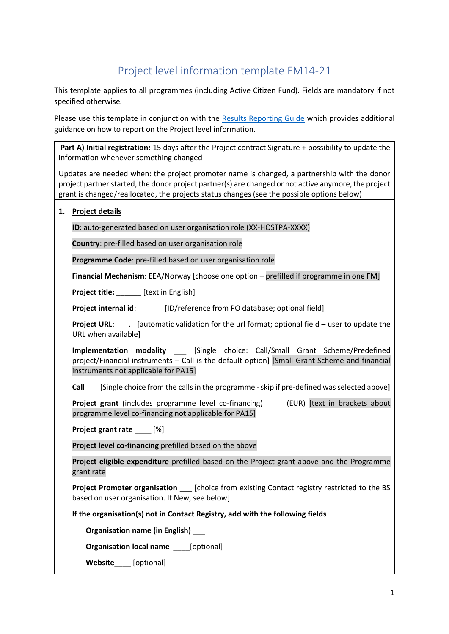# Project level information template FM14-21

This template applies to all programmes (including Active Citizen Fund). Fields are mandatory if not specified otherwise.

Please use this template in conjunction with the [Results Reporting Guide](https://eeagrants.org/Media/Files/Toolbox/Toolbox-2014-2021/EEA-and-Norway-Grants-Results-Reporting-Guide-14-21) which provides additional guidance on how to report on the Project level information.

**Part A) Initial registration:** 15 days after the Project contract Signature + possibility to update the information whenever something changed

Updates are needed when: the project promoter name is changed, a partnership with the donor project partner started, the donor project partner(s) are changed or not active anymore, the project grant is changed/reallocated, the projects status changes (see the possible options below)

# **1. Project details**

**ID**: auto-generated based on user organisation role (XX-HOSTPA-XXXX)

**Country**: pre-filled based on user organisation role

**Programme Code**: pre-filled based on user organisation role

**Financial Mechanism**: EEA/Norway [choose one option – prefilled if programme in one FM]

Proiect title: **Froject title:** [text in English]

**Project internal id**: \_\_\_\_\_\_ [ID/reference from PO database; optional field]

**Project URL:** . [automatic validation for the url format; optional field – user to update the URL when available]

**Implementation modality** \_\_\_ [Single choice: Call/Small Grant Scheme/Predefined project/Financial instruments – Call is the default option] [Small Grant Scheme and financial instruments not applicable for PA15]

**Call** [Single choice from the calls in the programme - skip if pre-defined was selected above]

Project grant (includes programme level co-financing) \_\_\_\_ (EUR) [text in brackets about programme level co-financing not applicable for PA15]

**Project grant rate [%]** 

**Project level co-financing** prefilled based on the above

**Project eligible expenditure** prefilled based on the Project grant above and the Programme grant rate

**Project Promoter organisation** [choice from existing Contact registry restricted to the BS based on user organisation. If New, see below]

**If the organisation(s) not in Contact Registry, add with the following fields** 

**Organisation name (in English)** \_\_\_

**Organisation local name** [optional]

Website [optional]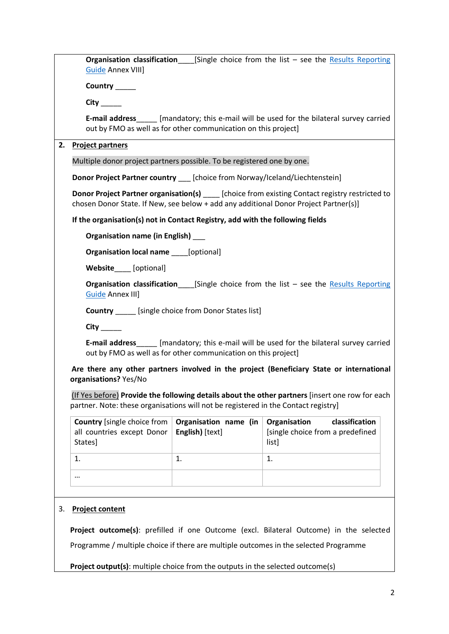| <b>Guide Annex VIII]</b>                                                                                                                                                                         | <b>Organisation classification</b> [Single choice from the list - see the Results Reporting                                                                                           |                                                                             |  |  |  |
|--------------------------------------------------------------------------------------------------------------------------------------------------------------------------------------------------|---------------------------------------------------------------------------------------------------------------------------------------------------------------------------------------|-----------------------------------------------------------------------------|--|--|--|
| Country _____                                                                                                                                                                                    |                                                                                                                                                                                       |                                                                             |  |  |  |
| $City$ <sub>_______</sub>                                                                                                                                                                        |                                                                                                                                                                                       |                                                                             |  |  |  |
|                                                                                                                                                                                                  | <b>E-mail address</b> [mandatory; this e-mail will be used for the bilateral survey carried<br>out by FMO as well as for other communication on this project]                         |                                                                             |  |  |  |
| 2.<br><b>Project partners</b>                                                                                                                                                                    |                                                                                                                                                                                       |                                                                             |  |  |  |
|                                                                                                                                                                                                  | Multiple donor project partners possible. To be registered one by one.                                                                                                                |                                                                             |  |  |  |
|                                                                                                                                                                                                  | Donor Project Partner country __ [choice from Norway/Iceland/Liechtenstein]                                                                                                           |                                                                             |  |  |  |
| <b>Donor Project Partner organisation(s)</b> ______ [choice from existing Contact registry restricted to<br>chosen Donor State. If New, see below + add any additional Donor Project Partner(s)] |                                                                                                                                                                                       |                                                                             |  |  |  |
|                                                                                                                                                                                                  | If the organisation(s) not in Contact Registry, add with the following fields                                                                                                         |                                                                             |  |  |  |
| Organisation name (in English) ___                                                                                                                                                               |                                                                                                                                                                                       |                                                                             |  |  |  |
|                                                                                                                                                                                                  | <b>Organisation local name</b> [optional]                                                                                                                                             |                                                                             |  |  |  |
| Website [optional]                                                                                                                                                                               |                                                                                                                                                                                       |                                                                             |  |  |  |
| <b>Guide Annex III]</b>                                                                                                                                                                          | <b>Organisation classification</b> [Single choice from the list – see the Results Reporting                                                                                           |                                                                             |  |  |  |
|                                                                                                                                                                                                  | <b>Country</b> ______ [single choice from Donor States list]                                                                                                                          |                                                                             |  |  |  |
|                                                                                                                                                                                                  |                                                                                                                                                                                       |                                                                             |  |  |  |
|                                                                                                                                                                                                  | <b>E-mail address</b> [mandatory; this e-mail will be used for the bilateral survey carried<br>out by FMO as well as for other communication on this project]                         |                                                                             |  |  |  |
| organisations? Yes/No                                                                                                                                                                            | Are there any other partners involved in the project (Beneficiary State or international                                                                                              |                                                                             |  |  |  |
|                                                                                                                                                                                                  | (If Yes before) Provide the following details about the other partners [insert one row for each<br>partner. Note: these organisations will not be registered in the Contact registry] |                                                                             |  |  |  |
| <b>Country</b> [single choice from<br>all countries except Donor<br>States]                                                                                                                      | Organisation name (in<br>English) [text]                                                                                                                                              | classification<br>Organisation<br>[single choice from a predefined<br>list] |  |  |  |
| 1.                                                                                                                                                                                               | 1.                                                                                                                                                                                    | 1.                                                                          |  |  |  |
|                                                                                                                                                                                                  |                                                                                                                                                                                       |                                                                             |  |  |  |
|                                                                                                                                                                                                  |                                                                                                                                                                                       |                                                                             |  |  |  |
| 3.<br><b>Project content</b>                                                                                                                                                                     |                                                                                                                                                                                       |                                                                             |  |  |  |
| Project outcome(s): prefilled if one Outcome (excl. Bilateral Outcome) in the selected                                                                                                           |                                                                                                                                                                                       |                                                                             |  |  |  |
| Programme / multiple choice if there are multiple outcomes in the selected Programme                                                                                                             |                                                                                                                                                                                       |                                                                             |  |  |  |
| <b>Project output(s):</b> multiple choice from the outputs in the selected outcome(s)                                                                                                            |                                                                                                                                                                                       |                                                                             |  |  |  |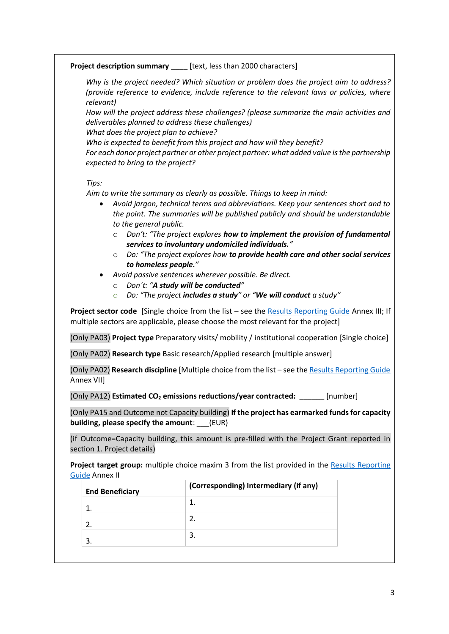# **Project description summary** [text, less than 2000 characters]

*Why is the project needed? Which situation or problem does the project aim to address? (provide reference to evidence, include reference to the relevant laws or policies, where relevant)*

*How will the project address these challenges? (please summarize the main activities and deliverables planned to address these challenges)*

*What does the project plan to achieve?* 

*Who is expected to benefit from this project and how will they benefit?* 

*For each donor project partner or other project partner: what added value is the partnership expected to bring to the project?* 

## *Tips:*

*Aim to write the summary as clearly as possible. Things to keep in mind:*

- *Avoid jargon, technical terms and abbreviations. Keep your sentences short and to the point. The summaries will be published publicly and should be understandable to the general public.* 
	- o *Don't: "The project explores how to implement the provision of fundamental services to involuntary undomiciled individuals."*
	- o *Do: "The project explores how to provide health care and other social services to homeless people."*
- *Avoid passive sentences wherever possible. Be direct.* 
	- o *Don´t: "A study will be conducted"*
	- o *Do: "The project includes a study" or "We will conduct a study"*

**Project sector code** [Single choice from the list – see the [Results Reporting Guide](https://eeagrants.org/Media/Files/Toolbox/Toolbox-2014-2021/EEA-and-Norway-Grants-Results-Reporting-Guide-14-21) Annex III; If multiple sectors are applicable, please choose the most relevant for the project]

(Only PA03) **Project type** Preparatory visits/ mobility / institutional cooperation [Single choice]

(Only PA02) **Research type** Basic research/Applied research [multiple answer]

(Only PA02) **Research discipline** [Multiple choice from the list – see th[e Results Reporting Guide](https://eeagrants.org/Media/Files/Toolbox/Toolbox-2014-2021/EEA-and-Norway-Grants-Results-Reporting-Guide-14-21) Annex VII]

(Only PA12) **Estimated CO<sup>2</sup> emissions reductions/year contracted:** \_\_\_\_\_\_ [number]

(Only PA15 and Outcome not Capacity building) **If the project has earmarked funds for capacity building, please specify the amount**: \_\_\_(EUR)

(if Outcome=Capacity building, this amount is pre-filled with the Project Grant reported in section 1. Project details)

Project target group: multiple choice maxim 3 from the list provided in the Results Reporting [Guide](https://eeagrants.org/Media/Files/Toolbox/Toolbox-2014-2021/EEA-and-Norway-Grants-Results-Reporting-Guide-14-21) Annex II

| <b>End Beneficiary</b> | (Corresponding) Intermediary (if any) |  |
|------------------------|---------------------------------------|--|
|                        |                                       |  |
|                        |                                       |  |
|                        |                                       |  |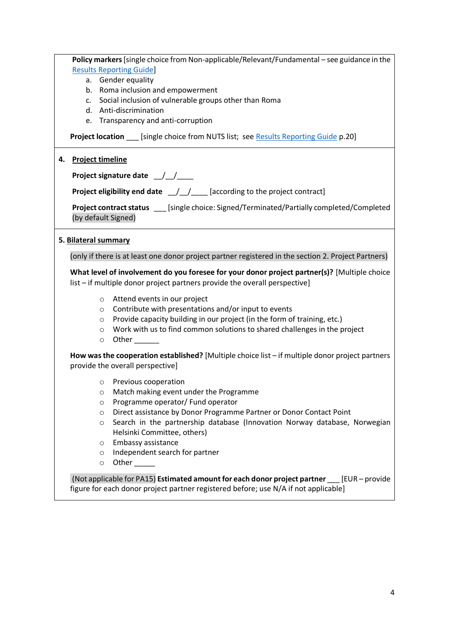|    | Policy markers [single choice from Non-applicable/Relevant/Fundamental - see guidance in the                                                                                    |  |  |  |  |  |
|----|---------------------------------------------------------------------------------------------------------------------------------------------------------------------------------|--|--|--|--|--|
|    | <b>Results Reporting Guide]</b>                                                                                                                                                 |  |  |  |  |  |
|    | a. Gender equality                                                                                                                                                              |  |  |  |  |  |
|    | b. Roma inclusion and empowerment                                                                                                                                               |  |  |  |  |  |
|    | c. Social inclusion of vulnerable groups other than Roma                                                                                                                        |  |  |  |  |  |
|    | d. Anti-discrimination                                                                                                                                                          |  |  |  |  |  |
|    | e. Transparency and anti-corruption                                                                                                                                             |  |  |  |  |  |
|    | <b>Project location</b> [single choice from NUTS list; see Results Reporting Guide p.20]                                                                                        |  |  |  |  |  |
| 4. | <b>Project timeline</b>                                                                                                                                                         |  |  |  |  |  |
|    | Project signature date __/__/___                                                                                                                                                |  |  |  |  |  |
|    | <b>Project eligibility end date</b> $\angle$ $\angle$ $\angle$ $\angle$ [according to the project contract]                                                                     |  |  |  |  |  |
|    | Project contract status ____[single choice: Signed/Terminated/Partially completed/Completed<br>(by default Signed)                                                              |  |  |  |  |  |
|    | 5. Bilateral summary                                                                                                                                                            |  |  |  |  |  |
|    | (only if there is at least one donor project partner registered in the section 2. Project Partners)                                                                             |  |  |  |  |  |
|    | What level of involvement do you foresee for your donor project partner(s)? [Multiple choice<br>list - if multiple donor project partners provide the overall perspective]      |  |  |  |  |  |
|    | Attend events in our project<br>$\circ$                                                                                                                                         |  |  |  |  |  |
|    | Contribute with presentations and/or input to events<br>$\circ$                                                                                                                 |  |  |  |  |  |
|    | Provide capacity building in our project (in the form of training, etc.)<br>O                                                                                                   |  |  |  |  |  |
|    | Work with us to find common solutions to shared challenges in the project<br>$\circ$                                                                                            |  |  |  |  |  |
|    | Other<br>$\circ$                                                                                                                                                                |  |  |  |  |  |
|    | How was the cooperation established? [Multiple choice list $-$ if multiple donor project partners<br>provide the overall perspective]                                           |  |  |  |  |  |
|    | Previous cooperation<br>$\circ$                                                                                                                                                 |  |  |  |  |  |
|    | Match making event under the Programme<br>O                                                                                                                                     |  |  |  |  |  |
|    | Programme operator/ Fund operator<br>O                                                                                                                                          |  |  |  |  |  |
|    | Direct assistance by Donor Programme Partner or Donor Contact Point<br>O                                                                                                        |  |  |  |  |  |
|    | Search in the partnership database (Innovation Norway database, Norwegian<br>$\circ$                                                                                            |  |  |  |  |  |
|    | Helsinki Committee, others)                                                                                                                                                     |  |  |  |  |  |
|    | Embassy assistance<br>O                                                                                                                                                         |  |  |  |  |  |
|    | Independent search for partner<br>O                                                                                                                                             |  |  |  |  |  |
|    | Other<br>$\circ$                                                                                                                                                                |  |  |  |  |  |
|    | (Not applicable for PA15) Estimated amount for each donor project partner [EUR - provide<br>figure for each donor project partner registered before; use N/A if not applicable] |  |  |  |  |  |

4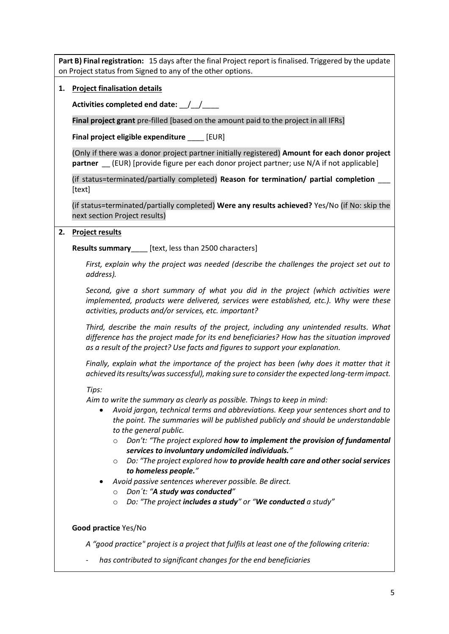**Part B) Final registration:** 15 days after the final Project report is finalised. Triggered by the update on Project status from Signed to any of the other options.

**1. Project finalisation details**

**Activities completed end date:** \_\_/\_\_/\_\_\_\_

**Final project grant** pre-filled [based on the amount paid to the project in all IFRs]

**Final project eligible expenditure** \_\_\_\_ [EUR]

(Only if there was a donor project partner initially registered) **Amount for each donor project partner** (EUR) [provide figure per each donor project partner; use N/A if not applicable]

(if status=terminated/partially completed) **Reason for termination/ partial completion** \_\_\_ [text]

(if status=terminated/partially completed) **Were any results achieved?** Yes/No (if No: skip the next section Project results)

## **2. Project results**

**Results summary**\_\_\_\_ [text, less than 2500 characters]

*First, explain why the project was needed (describe the challenges the project set out to address).*

*Second, give a short summary of what you did in the project (which activities were implemented, products were delivered, services were established, etc.). Why were these activities, products and/or services, etc. important?*

*Third, describe the main results of the project, including any unintended results. What difference has the project made for its end beneficiaries? How has the situation improved as a result of the project? Use facts and figures to support your explanation.* 

*Finally, explain what the importance of the project has been (why does it matter that it achieved its results/was successful), making sure to consider the expected long-term impact.*

#### *Tips:*

*Aim to write the summary as clearly as possible. Things to keep in mind:*

- *Avoid jargon, technical terms and abbreviations. Keep your sentences short and to the point. The summaries will be published publicly and should be understandable to the general public.* 
	- o *Don't: "The project explored how to implement the provision of fundamental services to involuntary undomiciled individuals."*
	- o *Do: "The project explored how to provide health care and other social services to homeless people."*
- *Avoid passive sentences wherever possible. Be direct.* 
	- o *Don´t: "A study was conducted"*
	- o *Do: "The project includes a study" or "We conducted a study"*

# **Good practice** Yes/No

*A "good practice" project is a project that fulfils at least one of the following criteria:*

- *has contributed to significant changes for the end beneficiaries*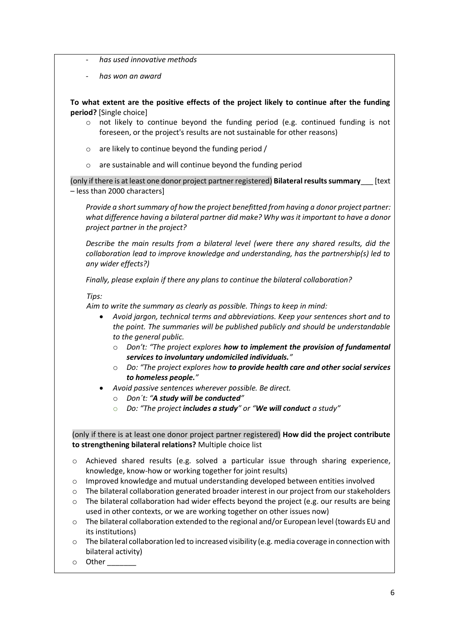- *has used innovative methods*
- *has won an award*

**To what extent are the positive effects of the project likely to continue after the funding period?** [Single choice]

- $\circ$  not likely to continue beyond the funding period (e.g. continued funding is not foreseen, or the project's results are not sustainable for other reasons)
- o are likely to continue beyond the funding period /
- o are sustainable and will continue beyond the funding period

(only if there is at least one donor project partner registered) **Bilateralresults summary**\_\_\_ [text – less than 2000 characters]

*Provide a short summary of how the project benefitted from having a donor project partner: what difference having a bilateral partner did make? Why was it important to have a donor project partner in the project?* 

*Describe the main results from a bilateral level (were there any shared results, did the collaboration lead to improve knowledge and understanding, has the partnership(s) led to any wider effects?)* 

*Finally, please explain if there any plans to continue the bilateral collaboration?*

#### *Tips:*

*Aim to write the summary as clearly as possible. Things to keep in mind:*

- *Avoid jargon, technical terms and abbreviations. Keep your sentences short and to the point. The summaries will be published publicly and should be understandable to the general public.* 
	- o *Don't: "The project explores how to implement the provision of fundamental services to involuntary undomiciled individuals."*
	- o *Do: "The project explores how to provide health care and other social services to homeless people."*
- *Avoid passive sentences wherever possible. Be direct.* 
	- o *Don´t: "A study will be conducted"*
	- o *Do: "The project includes a study" or "We will conduct a study"*

(only if there is at least one donor project partner registered) **How did the project contribute to strengthening bilateral relations?** Multiple choice list

- o Achieved shared results (e.g. solved a particular issue through sharing experience, knowledge, know-how or working together for joint results)
- o Improved knowledge and mutual understanding developed between entities involved
- $\circ$  The bilateral collaboration generated broader interest in our project from our stakeholders
- $\circ$  The bilateral collaboration had wider effects beyond the project (e.g. our results are being used in other contexts, or we are working together on other issues now)
- o The bilateral collaboration extended to the regional and/or European level (towards EU and its institutions)
- o The bilateral collaboration led to increased visibility (e.g. media coverage in connection with bilateral activity)
- $\circ$  Other